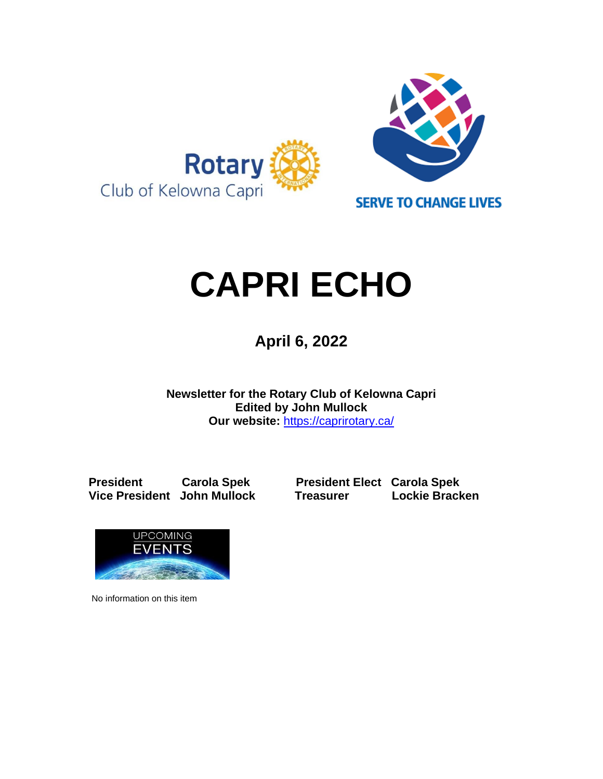

# **CAPRI ECHO**

 **April 6, <sup>2022</sup>**

**Newsletter for the Rotary Club of Kelowna Capri Edited by John Mullock Our website:** <https://caprirotary.ca/>

**President Carola Spek President Elect Carola Spek** 

**Vice President John Mullock Treasurer Lockie Bracken**



No information on this item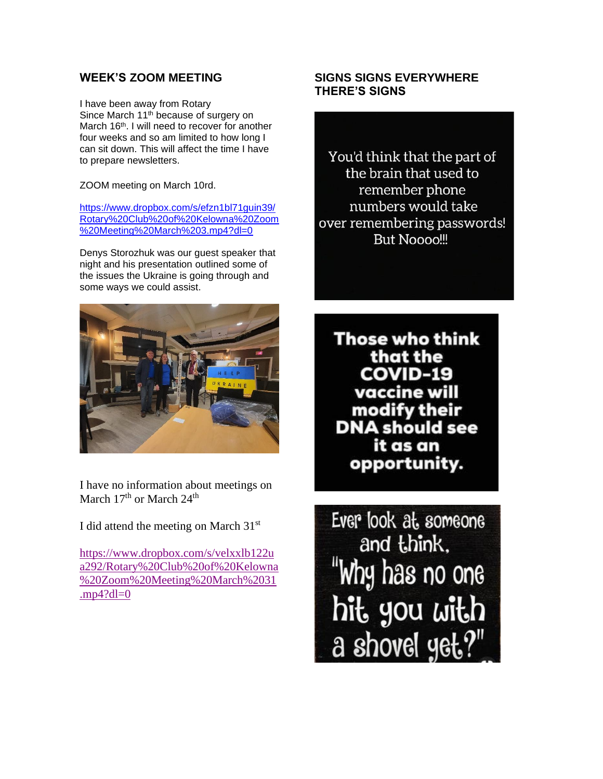## **WEEK'S ZOOM MEETING**

I have been away from Rotary Since March 11<sup>th</sup> because of surgery on March 16<sup>th</sup>. I will need to recover for another four weeks and so am limited to how long I can sit down. This will affect the time I have to prepare newsletters.

ZOOM meeting on March 10rd.

[https://www.dropbox.com/s/efzn1bl71guin39/](https://www.dropbox.com/s/efzn1bl71guin39/Rotary%20Club%20of%20Kelowna%20Zoom%20Meeting%20March%203.mp4?dl=0) [Rotary%20Club%20of%20Kelowna%20Zoom](https://www.dropbox.com/s/efzn1bl71guin39/Rotary%20Club%20of%20Kelowna%20Zoom%20Meeting%20March%203.mp4?dl=0) [%20Meeting%20March%203.mp4?dl=0](https://www.dropbox.com/s/efzn1bl71guin39/Rotary%20Club%20of%20Kelowna%20Zoom%20Meeting%20March%203.mp4?dl=0)

Denys Storozhuk was our guest speaker that night and his presentation outlined some of the issues the Ukraine is going through and some ways we could assist.



I have no information about meetings on March 17<sup>th</sup> or March 24<sup>th</sup>

I did attend the meeting on March  $31<sup>st</sup>$ 

[https://www.dropbox.com/s/velxxlb122u](https://www.dropbox.com/s/velxxlb122ua292/Rotary%20Club%20of%20Kelowna%20Zoom%20Meeting%20March%2031.mp4?dl=0) [a292/Rotary%20Club%20of%20Kelowna](https://www.dropbox.com/s/velxxlb122ua292/Rotary%20Club%20of%20Kelowna%20Zoom%20Meeting%20March%2031.mp4?dl=0) [%20Zoom%20Meeting%20March%2031](https://www.dropbox.com/s/velxxlb122ua292/Rotary%20Club%20of%20Kelowna%20Zoom%20Meeting%20March%2031.mp4?dl=0) .mp $4$ ?dl=0

### **SIGNS SIGNS EVERYWHERE THERE'S SIGNS**

You'd think that the part of the brain that used to remember phone numbers would take over remembering passwords! **But Noooo!!!** 

**Those who think** that the **COVID-19** vaccine will modify their **DNA** should see it as an opportunity.

Ever look at someone and think, "Why has no one hit you with a shovel yet?"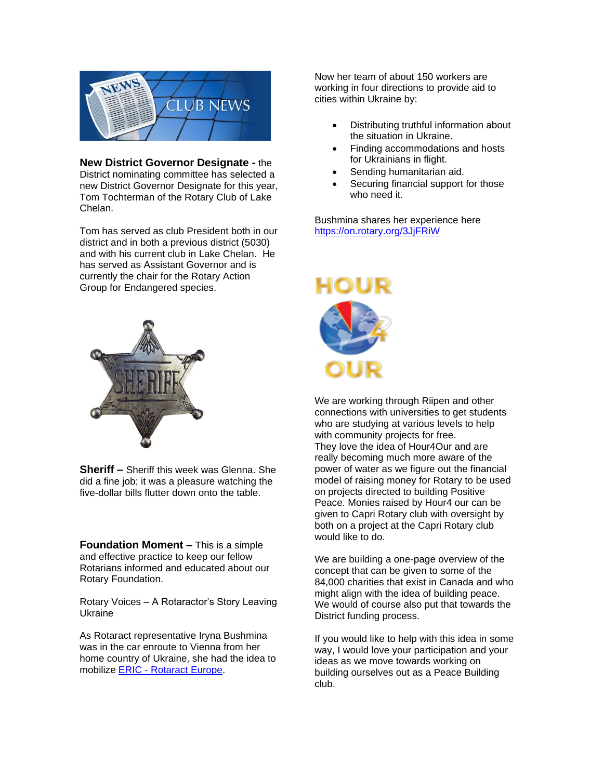

**New District Governor Designate -** the District nominating committee has selected a new District Governor Designate for this year, Tom Tochterman of the Rotary Club of Lake Chelan.

Tom has served as club President both in our district and in both a previous district (5030) and with his current club in Lake Chelan. He has served as Assistant Governor and is currently the chair for the Rotary Action Group for Endangered species.



**Sheriff –** Sheriff this week was Glenna. She did a fine job; it was a pleasure watching the five-dollar bills flutter down onto the table.

**Foundation Moment –** This is a simple and effective practice to keep our fellow Rotarians informed and educated about our Rotary Foundation.

Rotary Voices – A Rotaractor's Story Leaving Ukraine

As Rotaract representative Iryna Bushmina was in the car enroute to Vienna from her home country of Ukraine, she had the idea to mobilize ERIC - [Rotaract Europe.](https://www.facebook.com/RotaractEurope/?__cft__%5b0%5d=AZU5JV79PsNoNOIMvvW2Zd6BsGKd9RpA8OyfEUDDEdfGdd2pno0JJEW6h4ph1cKxXLFTiV69owIfO-eWmEmpagRRVFB-6oKzt79o9XdSPERX9i2D7oRMfb9Y02gDhcUK9084uwVasgYIoZLHZzg32E8Z&__tn__=kK-R)

Now her team of about 150 workers are working in four directions to provide aid to cities within Ukraine by:

- Distributing truthful information about the situation in Ukraine.
- Finding accommodations and hosts for Ukrainians in flight.
- Sending humanitarian aid.
- Securing financial support for those who need it.

Bushmina shares her experience here [https://on.rotary.org/3JjFRiW](https://on.rotary.org/3JjFRiW?fbclid=IwAR1gAU2kcVq4_g0lOO1_cX7eSHcn_IDWzet6rHzf9T_RzG9REU1KU8ZLgus)



We are working through Riipen and other connections with universities to get students who are studying at various levels to help with community projects for free. They love the idea of Hour4Our and are really becoming much more aware of the power of water as we figure out the financial model of raising money for Rotary to be used on projects directed to building Positive Peace. Monies raised by Hour4 our can be given to Capri Rotary club with oversight by both on a project at the Capri Rotary club would like to do.

We are building a one-page overview of the concept that can be given to some of the 84,000 charities that exist in Canada and who might align with the idea of building peace. We would of course also put that towards the District funding process.

If you would like to help with this idea in some way, I would love your participation and your ideas as we move towards working on building ourselves out as a Peace Building club.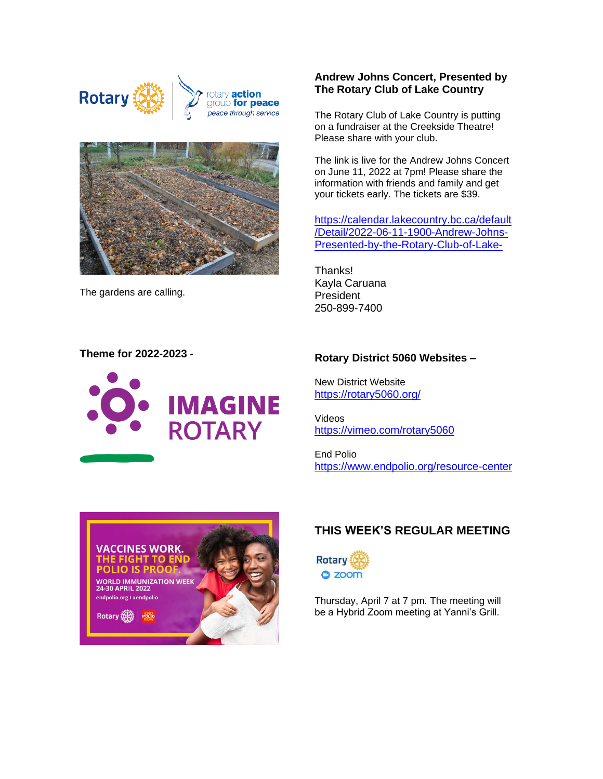





The gardens are calling.

#### **Andrew Johns Concert, Presented by The Rotary Club of Lake Country**

The Rotary Club of Lake Country is putting on a fundraiser at the Creekside Theatre! Please share with your club.

The link is live for the Andrew Johns Concert on June 11, 2022 at 7pm! Please share the information with friends and family and get your tickets early. The tickets are \$39.

[https://calendar.lakecountry.bc.ca/default](https://calendar.lakecountry.bc.ca/default/Detail/2022-06-11-1900-Andrew-Johns-Presented-by-the-Rotary-Club-of-Lake-) [/Detail/2022-06-11-1900-Andrew-Johns-](https://calendar.lakecountry.bc.ca/default/Detail/2022-06-11-1900-Andrew-Johns-Presented-by-the-Rotary-Club-of-Lake-)[Presented-by-the-Rotary-Club-of-Lake-](https://calendar.lakecountry.bc.ca/default/Detail/2022-06-11-1900-Andrew-Johns-Presented-by-the-Rotary-Club-of-Lake-)

Thanks! Kayla Caruana President 250-899-7400

#### **Theme for 2022-2023 -**



#### **Rotary District 5060 Websites –**

New District Website <https://rotary5060.org/>

Videos <https://vimeo.com/rotary5060>

End Polio <https://www.endpolio.org/resource-center>



### **THIS WEEK'S REGULAR MEETING**



Thursday, April 7 at 7 pm. The meeting will be a Hybrid Zoom meeting at Yanni's Grill.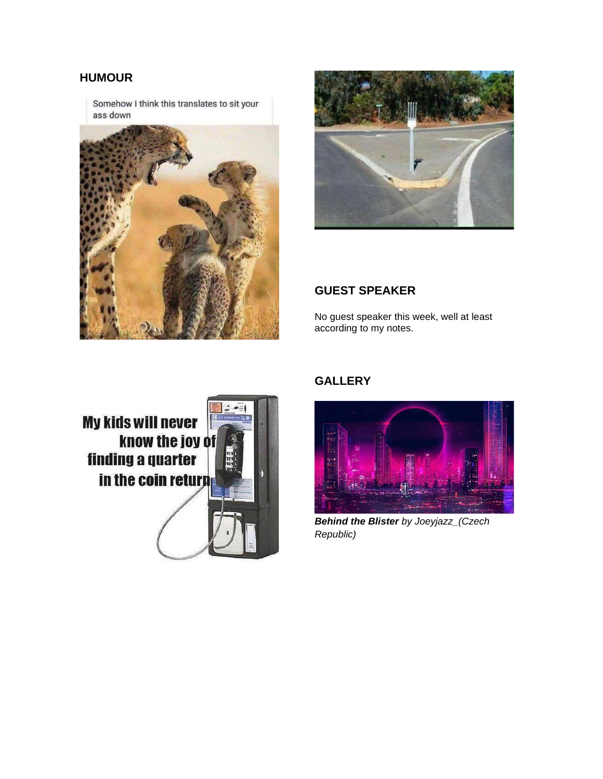## **HUMOUR**

Somehow I think this translates to sit your ass down





### **GUEST SPEAKER**

No guest speaker this week, well at least according to my notes.



# **GALLERY**



*Behind the Blister by Joeyjazz\_(Czech Republic)*